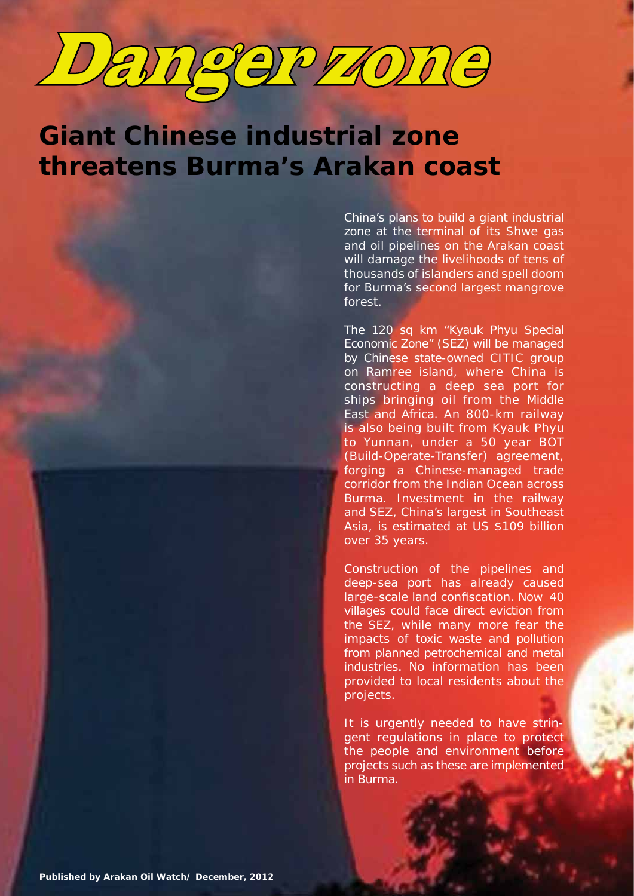

# **Giant Chinese industrial zone threatens Burma's Arakan coast**

China's plans to build a giant industrial zone at the terminal of its Shwe gas and oil pipelines on the Arakan coast will damage the livelihoods of tens of thousands of islanders and spell doom for Burma's second largest mangrove forest.

The 120 sq km "Kyauk Phyu Special Economic Zone" (SEZ) will be managed by Chinese state-owned CITIC group on Ramree island, where China is constructing a deep sea port for ships bringing oil from the Middle East and Africa. An 800-km railway is also being built from Kyauk Phyu to Yunnan, under a 50 year BOT (Build-Operate-Transfer) agreement, forging a Chinese-managed trade corridor from the Indian Ocean across Burma. Investment in the railway and SEZ, China's largest in Southeast Asia, is estimated at US \$109 billion over 35 years.

Construction of the pipelines and deep-sea port has already caused large-scale land confiscation. Now 40 villages could face direct eviction from the SEZ, while many more fear the impacts of toxic waste and pollution from planned petrochemical and metal industries. No information has been provided to local residents about the projects.

It is urgently needed to have stringent regulations in place to protect the people and environment before projects such as these are implemented in Burma.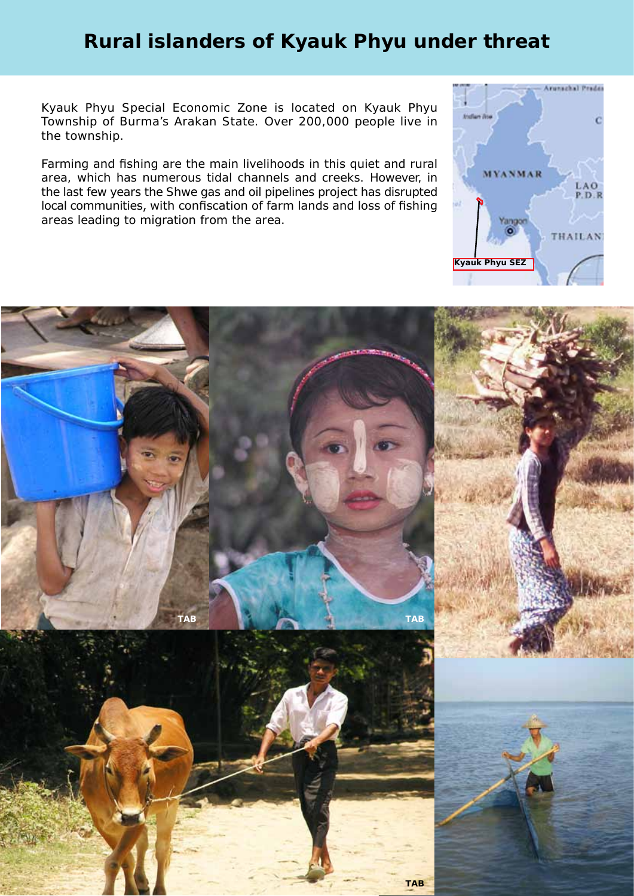# **Rural islanders of Kyauk Phyu under threat**

Kyauk Phyu Special Economic Zone is located on Kyauk Phyu Township of Burma's Arakan State. Over 200,000 people live in the township.

Farming and fishing are the main livelihoods in this quiet and rural area, which has numerous tidal channels and creeks. However, in the last few years the Shwe gas and oil pipelines project has disrupted local communities, with confiscation of farm lands and loss of fishing areas leading to migration from the area.



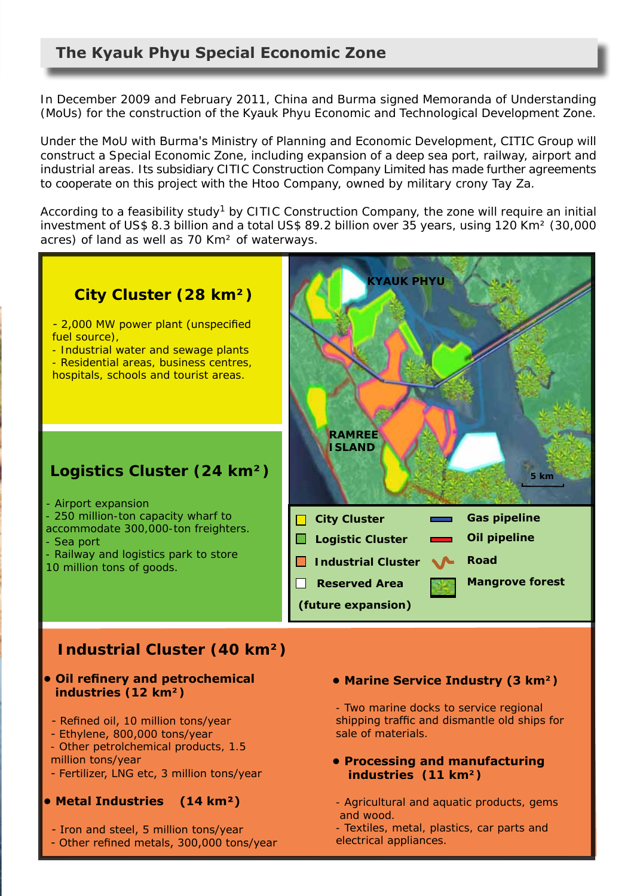In December 2009 and February 2011, China and Burma signed Memoranda of Understanding (MoUs) for the construction of the Kyauk Phyu Economic and Technological Development Zone.

Under the MoU with Burma's Ministry of Planning and Economic Development, CITIC Group will construct a Special Economic Zone, including expansion of a deep sea port, railway, airport and industrial areas. Its subsidiary CITIC Construction Company Limited has made further agreements to cooperate on this project with the Htoo Company, owned by military crony Tay Za.

According to a feasibility study<sup>1</sup> by CITIC Construction Company, the zone will require an initial investment of US\$ 8.3 billion and a total US\$ 89.2 billion over 35 years, using 120 Km² (30,000 acres) of land as well as 70 Km² of waterways.

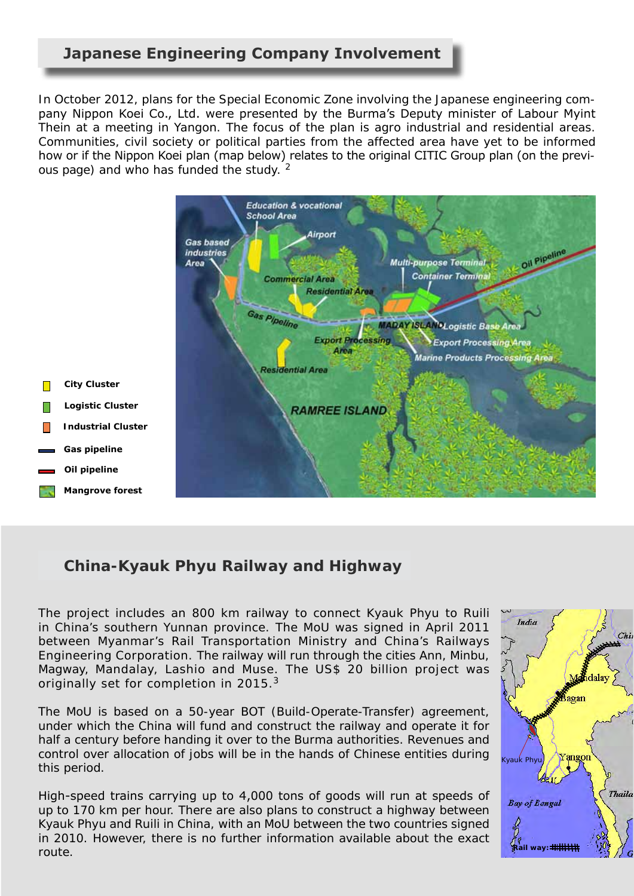# **Japanese Engineering Company Involvement**

In October 2012, plans for the Special Economic Zone involving the Japanese engineering company Nippon Koei Co., Ltd. were presented by the Burma's Deputy minister of Labour Myint Thein at a meeting in Yangon. The focus of the plan is agro industrial and residential areas. Communities, civil society or political parties from the affected area have yet to be informed how or if the Nippon Koei plan (map below) relates to the original CITIC Group plan (on the previous page) and who has funded the study. <sup>2</sup>



# **China-Kyauk Phyu Railway and Highway**

The project includes an 800 km railway to connect Kyauk Phyu to Ruili in China's southern Yunnan province. The MoU was signed in April 2011 between Myanmar's Rail Transportation Ministry and China's Railways Engineering Corporation. The railway will run through the cities Ann, Minbu, Magway, Mandalay, Lashio and Muse. The US\$ 20 billion project was originally set for completion in 2015.<sup>3</sup>

The MoU is based on a 50-year BOT (Build-Operate-Transfer) agreement, under which the China will fund and construct the railway and operate it for half a century before handing it over to the Burma authorities. Revenues and control over allocation of jobs will be in the hands of Chinese entities during this period.

High-speed trains carrying up to 4,000 tons of goods will run at speeds of up to 170 km per hour. There are also plans to construct a highway between Kyauk Phyu and Ruili in China, with an MoU between the two countries signed in 2010. However, there is no further information available about the exact route.

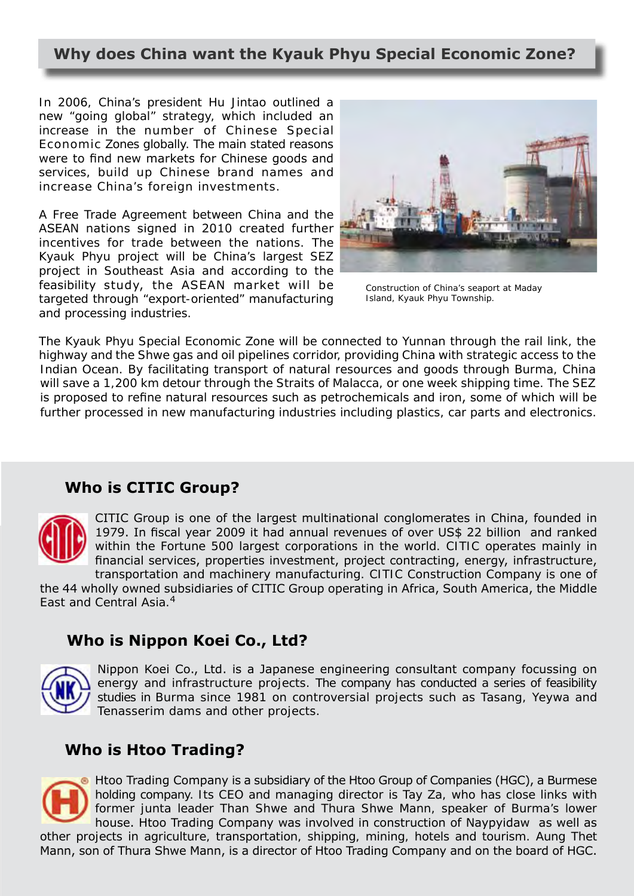# **Why does China want the Kyauk Phyu Special Economic Zone?**

In 2006, China's president Hu Jintao outlined a new "going global" strategy, which included an increase in the number of Chinese Special Economic Zones globally. The main stated reasons were to find new markets for Chinese goods and services, build up Chinese brand names and increase China's foreign investments.

A Free Trade Agreement between China and the ASEAN nations signed in 2010 created further incentives for trade between the nations. The Kyauk Phyu project will be China's largest SEZ project in Southeast Asia and according to the feasibility study, the ASEAN market will be targeted through "export-oriented" manufacturing and processing industries.



*Construction of China's seaport at Maday Island, Kyauk Phyu Township.*

The Kyauk Phyu Special Economic Zone will be connected to Yunnan through the rail link, the highway and the Shwe gas and oil pipelines corridor, providing China with strategic access to the Indian Ocean. By facilitating transport of natural resources and goods through Burma, China will save a 1,200 km detour through the Straits of Malacca, or one week shipping time. The SEZ is proposed to refine natural resources such as petrochemicals and iron, some of which will be further processed in new manufacturing industries including plastics, car parts and electronics.

# **Who is CITIC Group?**



CITIC Group is one of the largest multinational conglomerates in China, founded in 1979. In fiscal year 2009 it had annual revenues of over US\$ 22 billion and ranked within the Fortune 500 largest corporations in the world. CITIC operates mainly in financial services, properties investment, project contracting, energy, infrastructure, transportation and machinery manufacturing. CITIC Construction Company is one of

the 44 wholly owned subsidiaries of CITIC Group operating in Africa, South America, the Middle East and Central Asia.<sup>4</sup>

# **Who is Nippon Koei Co., Ltd?**



Nippon Koei Co., Ltd. is a Japanese engineering consultant company focussing on energy and infrastructure projects. The company has conducted a series of feasibility studies in Burma since 1981 on controversial projects such as Tasang, Yeywa and Tenasserim dams and other projects.

# **Who is Htoo Trading?**

Htoo Trading Company is a subsidiary of the Htoo Group of Companies (HGC), a Burmese holding company. Its CEO and managing director is Tay Za, who has close links with former junta leader Than Shwe and Thura Shwe Mann, speaker of Burma's lower house. Htoo Trading Company was involved in construction of Naypyidaw as well as other projects in agriculture, transportation, shipping, mining, hotels and tourism. Aung Thet Mann, son of Thura Shwe Mann, is a director of Htoo Trading Company and on the board of HGC.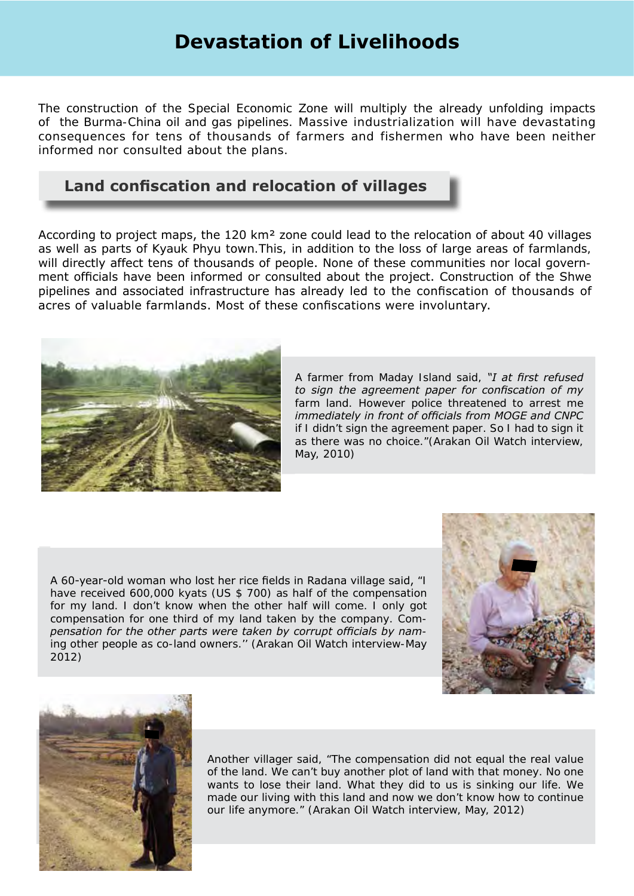# **Devastation of Livelihoods**

The construction of the Special Economic Zone will multiply the already unfolding impacts of the Burma-China oil and gas pipelines. Massive industrialization will have devastating consequences for tens of thousands of farmers and fishermen who have been neither informed nor consulted about the plans.

# **Land confiscation and relocation of villages**

According to project maps, the 120 km² zone could lead to the relocation of about 40 villages as well as parts of Kyauk Phyu town.This, in addition to the loss of large areas of farmlands, will directly affect tens of thousands of people. None of these communities nor local government officials have been informed or consulted about the project. Construction of the Shwe pipelines and associated infrastructure has already led to the confiscation of thousands of acres of valuable farmlands. Most of these confiscations were involuntary.



A farmer from Maday Island said, *"I at first refused to sign the agreement paper for confiscation of my farm land. However police threatened to arrest me immediately in front of officials from MOGE and CNPC if I didn't sign the agreement paper. So I had to sign it as there was no choice."*(Arakan Oil Watch interview, May, 2010)

A 60-year-old woman who lost her rice fields in Radana village said, *"I have received 600,000 kyats (US \$ 700) as half of the compensation for my land. I don't know when the other half will come. I only got compensation for one third of my land taken by the company. Compensation for the other parts were taken by corrupt officials by naming other people as co-land owners.''* (Arakan Oil Watch interview-May 2012)





Another villager said, *"The compensation did not equal the real value of the land. We can't buy another plot of land with that money. No one wants to lose their land. What they did to us is sinking our life. We made our living with this land and now we don't know how to continue our life anymore."* (Arakan Oil Watch interview, May, 2012)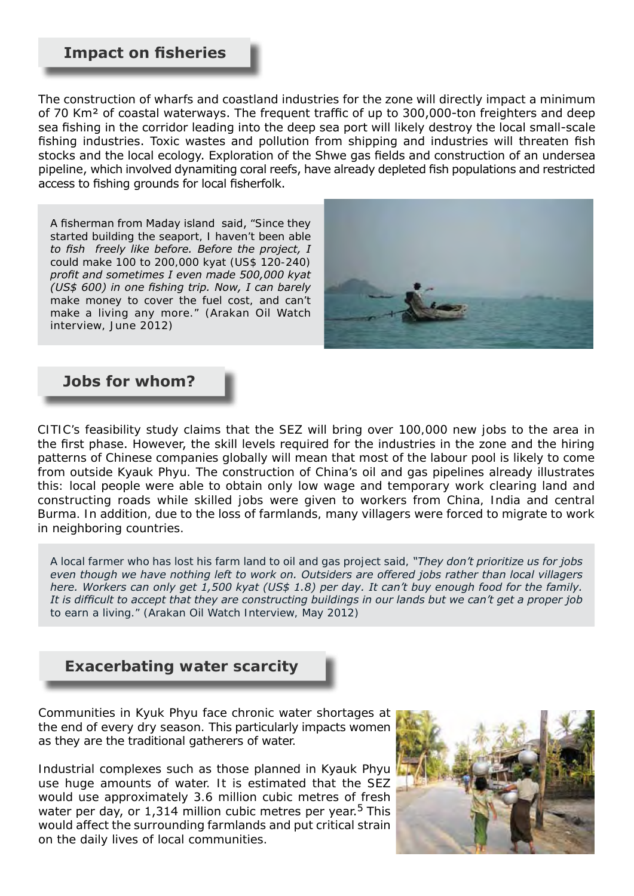### **Impact on fisheries**

The construction of wharfs and coastland industries for the zone will directly impact a minimum of 70 Km² of coastal waterways. The frequent traffic of up to 300,000-ton freighters and deep sea fishing in the corridor leading into the deep sea port will likely destroy the local small-scale fishing industries. Toxic wastes and pollution from shipping and industries will threaten fish stocks and the local ecology. Exploration of the Shwe gas fields and construction of an undersea pipeline, which involved dynamiting coral reefs, have already depleted fish populations and restricted access to fishing grounds for local fisherfolk.

A fisherman from Maday island said, *"Since they started building the seaport, I haven't been able to fish freely like before. Before the project, I could make 100 to 200,000 kyat (US\$ 120-240) profit and sometimes I even made 500,000 kyat (US\$ 600) in one fishing trip. Now, I can barely make money to cover the fuel cost, and can't make a living any more."* (Arakan Oil Watch interview, June 2012)



### **Jobs for whom?**

CITIC's feasibility study claims that the SEZ will bring over 100,000 new jobs to the area in the first phase. However, the skill levels required for the industries in the zone and the hiring patterns of Chinese companies globally will mean that most of the labour pool is likely to come from outside Kyauk Phyu. The construction of China's oil and gas pipelines already illustrates this: local people were able to obtain only low wage and temporary work clearing land and constructing roads while skilled jobs were given to workers from China, India and central Burma. In addition, due to the loss of farmlands, many villagers were forced to migrate to work in neighboring countries.

A local farmer who has lost his farm land to oil and gas project said, *"They don't prioritize us for jobs even though we have nothing left to work on. Outsiders are offered jobs rather than local villagers here. Workers can only get 1,500 kyat (US\$ 1.8) per day. It can't buy enough food for the family. It is difficult to accept that they are constructing buildings in our lands but we can't get a proper job to earn a living."* (Arakan Oil Watch Interview, May 2012)

 **Exacerbating water scarcity**



Communities in Kyuk Phyu face chronic water shortages at the end of every dry season. This particularly impacts women as they are the traditional gatherers of water.

Industrial complexes such as those planned in Kyauk Phyu use huge amounts of water. It is estimated that the SEZ would use approximately 3.6 million cubic metres of fresh water per day, or 1,314 million cubic metres per year.<sup>5</sup> This would affect the surrounding farmlands and put critical strain on the daily lives of local communities.

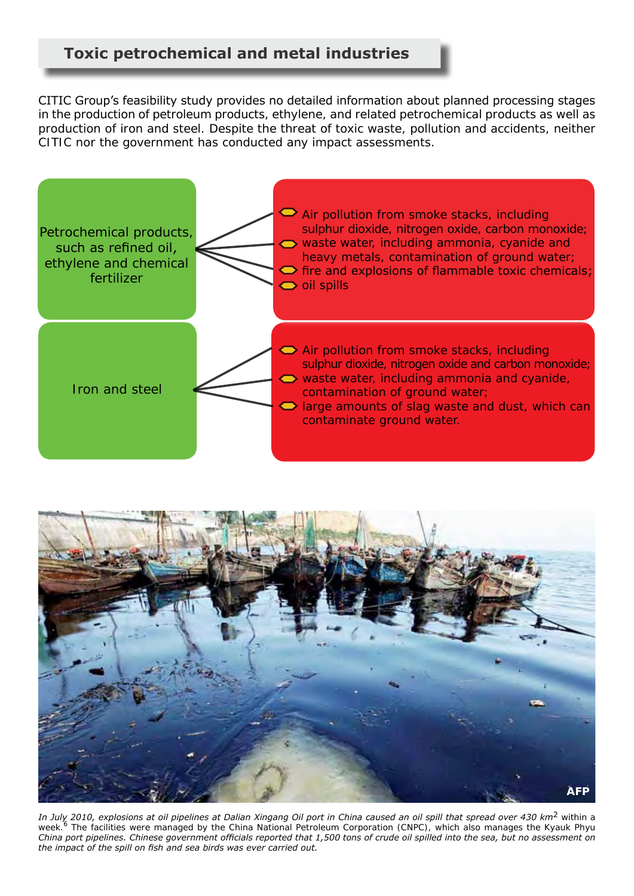CITIC Group's feasibility study provides no detailed information about planned processing stages in the production of petroleum products, ethylene, and related petrochemical products as well as production of iron and steel. Despite the threat of toxic waste, pollution and accidents, neither CITIC nor the government has conducted any impact assessments.





*In July 2010, explosions at oil pipelines at Dalian Xingang Oil port in China caused an oil spill that spread over 430 km2 within a week.6 The facilities were managed by the China National Petroleum Corporation (CNPC), which also manages the Kyauk Phyu China port pipelines. Chinese government officials reported that 1,500 tons of crude oil spilled into the sea, but no assessment on the impact of the spill on fish and sea birds was ever carried out.*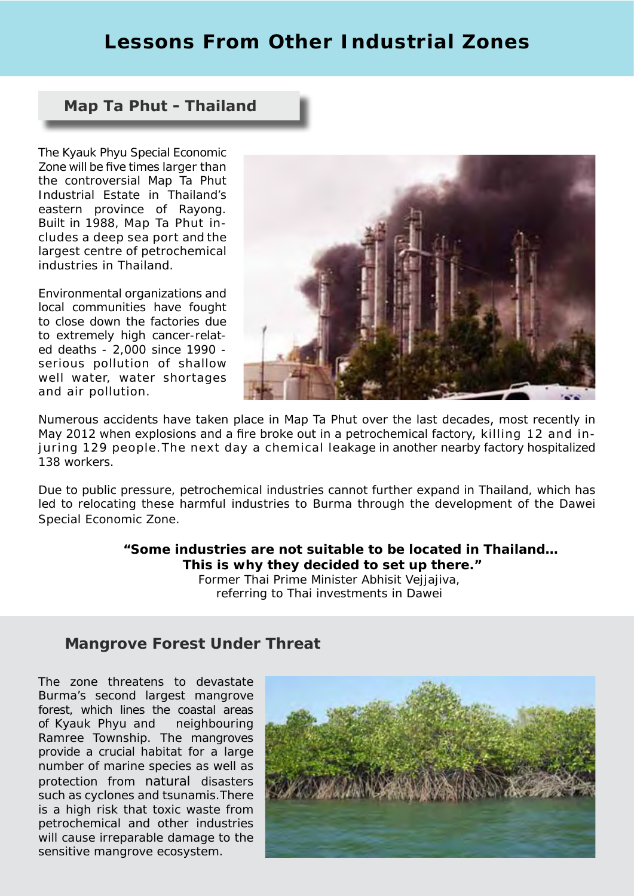# **Lessons From Other Industrial Zones**

### **Map Ta Phut - Thailand**

The Kyauk Phyu Special Economic Zone will be five times larger than the controversial Map Ta Phut Industrial Estate in Thailand's eastern province of Rayong. Built in 1988, Map Ta Phut includes a deep sea port and the largest centre of petrochemical industries in Thailand.

Environmental organizations and local communities have fought to close down the factories due to extremely high cancer-related deaths - 2,000 since 1990 serious pollution of shallow well water, water shortages and air pollution.



Numerous accidents have taken place in Map Ta Phut over the last decades, most recently in May 2012 when explosions and a fire broke out in a petrochemical factory, killing 12 and injuring 129 people.The next day a chemical leakage in another nearby factory hospitalized 138 workers.

Due to public pressure, petrochemical industries cannot further expand in Thailand, which has led to relocating these harmful industries to Burma through the development of the Dawei Special Economic Zone.

> *"Some industries are not suitable to be located in Thailand… This is why they decided to set up there."* Former Thai Prime Minister Abhisit Veijajiva, referring to Thai investments in Dawei

### **Mangrove Forest Under Threat**

The zone threatens to devastate Burma's second largest mangrove forest, which lines the coastal areas of Kyauk Phyu and neighbouring Ramree Township. The mangroves provide a crucial habitat for a large number of marine species as well as protection from natural disasters such as cyclones and tsunamis.There is a high risk that toxic waste from petrochemical and other industries will cause irreparable damage to the sensitive mangrove ecosystem.

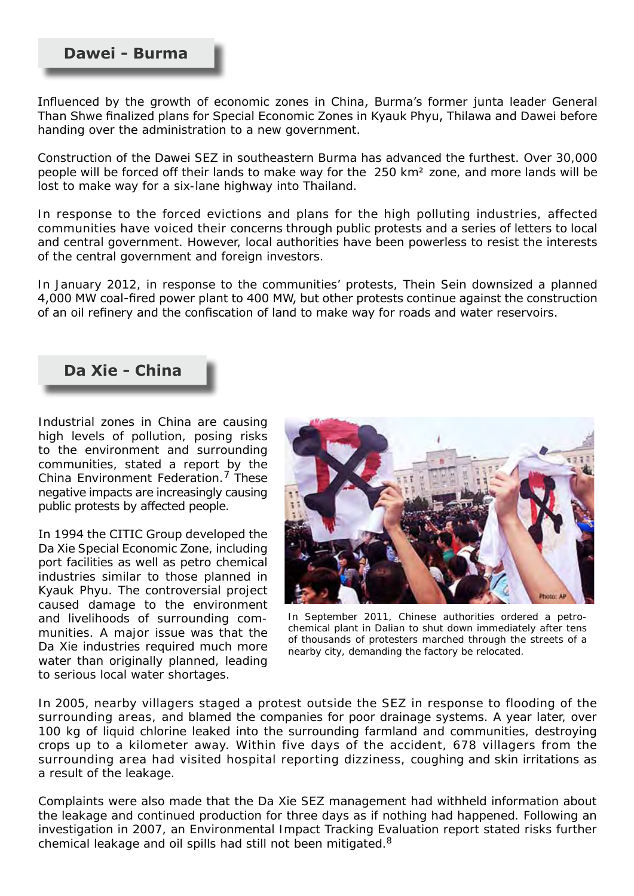### **Dawei - Burma**

Influenced by the growth of economic zones in China, Burma's former junta leader General Than Shwe finalized plans for Special Economic Zones in Kyauk Phyu, Thilawa and Dawei before handing over the administration to a new government.

Construction of the Dawei SEZ in southeastern Burma has advanced the furthest. Over 30,000 people will be forced off their lands to make way for the 250 km² zone, and more lands will be lost to make way for a six-lane highway into Thailand.

In response to the forced evictions and plans for the high polluting industries, affected communities have voiced their concerns through public protests and a series of letters to local and central government. However, local authorities have been powerless to resist the interests of the central government and foreign investors.

In January 2012, in response to the communities' protests, Thein Sein downsized a planned 4,000 MW coal-fired power plant to 400 MW, but other protests continue against the construction of an oil refinery and the confiscation of land to make way for roads and water reservoirs.

# **Da Xie - China**

Industrial zones in China are causing high levels of pollution, posing risks to the environment and surrounding communities, stated a report by the China Environment Federation.<sup>7</sup> These negative impacts are increasingly causing public protests by affected people.

In 1994 the CITIC Group developed the Da Xie Special Economic Zone, including port facilities as well as petro chemical industries similar to those planned in Kyauk Phyu. The controversial project caused damage to the environment and livelihoods of surrounding communities. A major issue was that the Da Xie industries required much more water than originally planned, leading to serious local water shortages.



*In September 2011, Chinese authorities ordered a petrochemical plant in Dalian to shut down immediately after tens of thousands of protesters marched through the streets of a nearby city, demanding the factory be relocated.*

In 2005, nearby villagers staged a protest outside the SEZ in response to flooding of the surrounding areas, and blamed the companies for poor drainage systems. A year later, over 100 kg of liquid chlorine leaked into the surrounding farmland and communities, destroying crops up to a kilometer away. Within five days of the accident, 678 villagers from the surrounding area had visited hospital reporting dizziness, coughing and skin irritations as a result of the leakage.

Complaints were also made that the Da Xie SEZ management had withheld information about the leakage and continued production for three days as if nothing had happened. Following an investigation in 2007, an Environmental Impact Tracking Evaluation report stated risks further chemical leakage and oil spills had still not been mitigated.<sup>8</sup>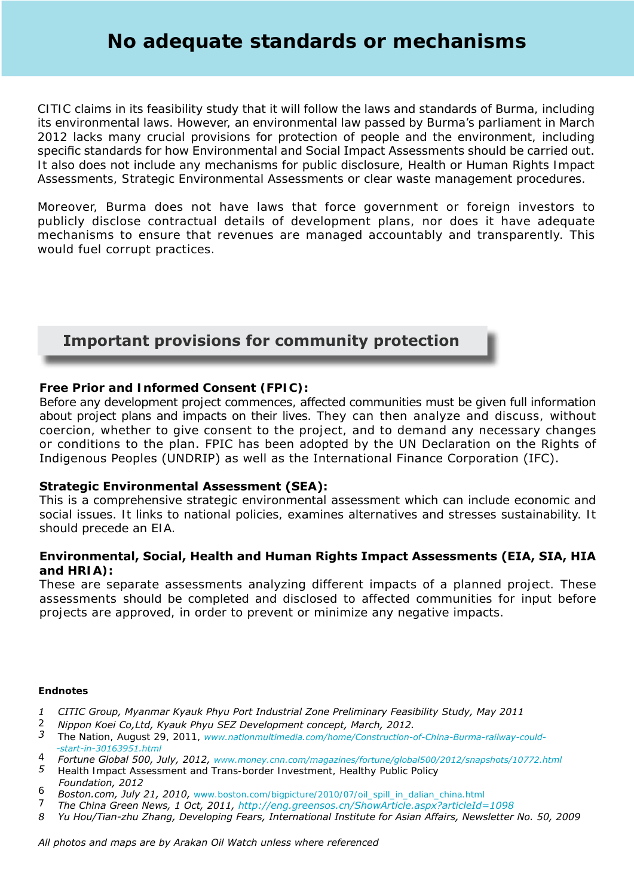CITIC claims in its feasibility study that it will follow the laws and standards of Burma, including its environmental laws. However, an environmental law passed by Burma's parliament in March 2012 lacks many crucial provisions for protection of people and the environment, including specific standards for how Environmental and Social Impact Assessments should be carried out. It also does not include any mechanisms for public disclosure, Health or Human Rights Impact Assessments, Strategic Environmental Assessments or clear waste management procedures.

Moreover, Burma does not have laws that force government or foreign investors to publicly disclose contractual details of development plans, nor does it have adequate mechanisms to ensure that revenues are managed accountably and transparently. This would fuel corrupt practices.

# **Important provisions for community protection**

### **Free Prior and Informed Consent (FPIC):**

Before any development project commences, affected communities must be given full information about project plans and impacts on their lives. They can then analyze and discuss, without coercion, whether to give consent to the project, and to demand any necessary changes or conditions to the plan. FPIC has been adopted by the UN Declaration on the Rights of Indigenous Peoples (UNDRIP) as well as the International Finance Corporation (IFC).

#### **Strategic Environmental Assessment (SEA):**

This is a comprehensive strategic environmental assessment which can include economic and social issues. It links to national policies, examines alternatives and stresses sustainability. It should precede an EIA.

#### **Environmental, Social, Health and Human Rights Impact Assessments (EIA, SIA, HIA and HRIA):**

These are separate assessments analyzing different impacts of a planned project. These assessments should be completed and disclosed to affected communities for input before projects are approved, in order to prevent or minimize any negative impacts.

#### **Endnotes**

- *1 CITIC Group, Myanmar Kyauk Phyu Port Industrial Zone Preliminary Feasibility Study, May 2011*
- *2 Nippon Koei Co,Ltd, Kyauk Phyu SEZ Development concept, March, 2012.*
- *3 The Nation, August 29, 2011, www.nationmultimedia.com/home/Construction-of-China-Burma-railway-could- -start-in-30163951.html*
- *4 Fortune Global 500, July, 2012, www.money.cnn.com/magazines/fortune/global500/2012/snapshots/10772.html*
- *5 Health Impact Assessment and Trans-border Investment, Healthy Public Policy Foundation, 2012*
- *6 Boston.com, July 21, 2010, www.boston.com/bigpicture/2010/07/oil\_spill\_in\_dalian\_china.html*
- *7 The China Green News, 1 Oct, 2011, http://eng.greensos.cn/ShowArticle.aspx?articleId=1098*
- *8 Yu Hou/Tian-zhu Zhang, Developing Fears, International Institute for Asian Affairs, Newsletter No. 50, 2009*

*All photos and maps are by Arakan Oil Watch unless where referenced*